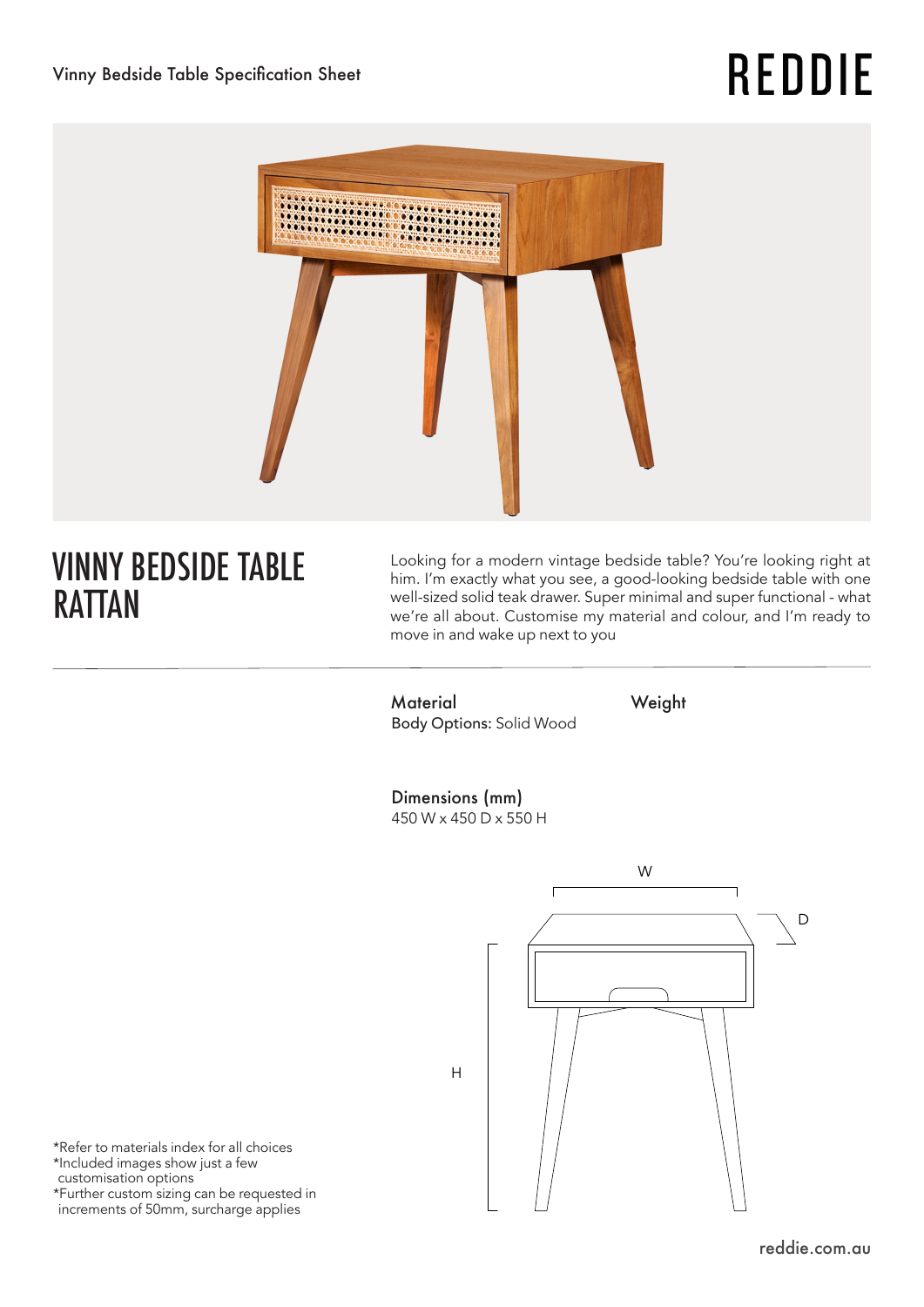# **REDDIE**



# VINNY BEDSIDE TABLE RATTAN

Looking for a modern vintage bedside table? You're looking right at him. I'm exactly what you see, a good-looking bedside table with one well-sized solid teak drawer. Super minimal and super functional - what we're all about. Customise my material and colour, and I'm ready to move in and wake up next to you

Material Weight Body Options: Solid Wood

Dimensions (mm) 450 W x 450 D x 550 H



\*Refer to materials index for all choices \*Included images show just a few customisation options \*Further custom sizing can be requested in increments of 50mm, surcharge applies